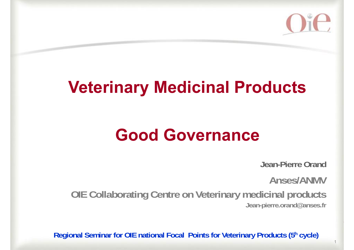

## **Veterinary Medicinal Products**

## **Good Governance**

**Jean-Pierre Orand**

**Anses/ANMV** 

**OIE Collaborating Centre on Veterinary medicinal products Jean-pierre.orand@anses.fr**

**Regional Seminar for OIE national Focal Points for Veterinary Products (5h cycle)**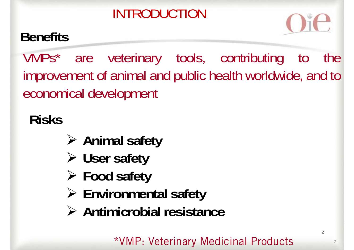## INTRODUCTION

## **Benefits**



VMPs\* are veterinary tools, contributing to the improvement of animal and public health worldwide, and to economical development

## **Risks**

- **Animal safety**
- **User safety**
- **Food safety**
- **Environmental safety**
- **Antimicrobial resistance**

\*VMP: Veterinary Medicinal Products

2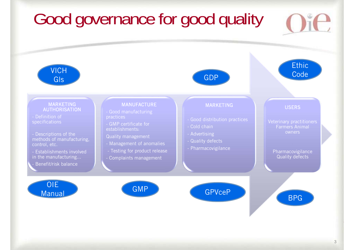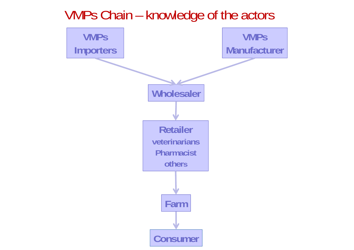

#### VMPs Chain – knowledge of the actors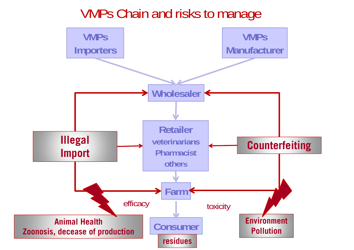#### **VMPsManufacturer Wholesaler Retailer veterinarians Pharmacist othersConsumer** VMPs Chain and risks to manage **Farm VMPsImporters Illegal Import Counterfeiting Animal Health Zoonosis, decease of production Environment Pollution** efficacy **The unitary** toxicity **residues**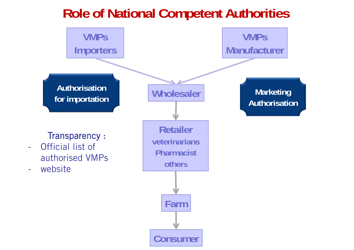#### **Role of National Competent Authorities**

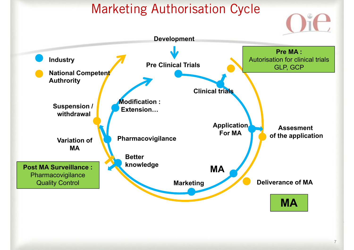#### Marketing Authorisation Cycle

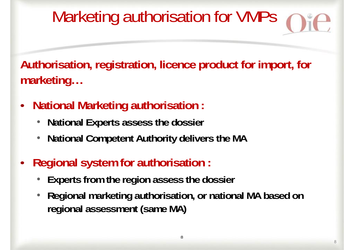# Marketing authorisation for VMPs

**Authorisation, registration, licence product for import, for marketing…**

- • **National Marketing authorisation :**
	- •**National Experts assess the dossier**
	- •**National Competent Authority delivers the MA**
- • **Regional system for authorisation :**
	- •**Experts from the region assess the dossier**
	- • **Regional marketing authorisation, or national MA based on regional assessment (same MA)**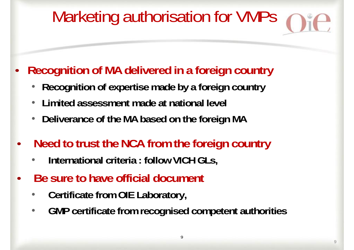# Marketing authorisation for VMPs

- • **Recognition of MA delivered in a foreign country**
	- •**Recognition of expertise made by a foreign country**
	- $\bullet$ **Limited assessment made at national level**
	- •**Deliverance of the MA based on the foreign MA**
- • **Need to trust the NCA from the foreign country** 
	- •**International criteria : follow VICH GLs,**
- • **Be sure to have official document**
	- •**Certificate from OIE Laboratory,**
	- $\bullet$ **GMP certificate from recognised competent authorities**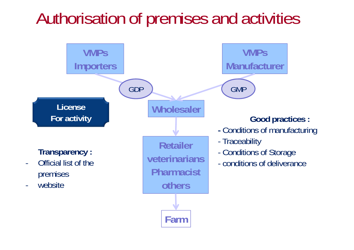# Authorisation of premises and activities

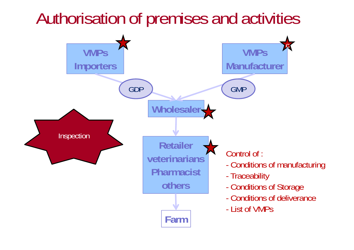## Authorisation of premises and activities

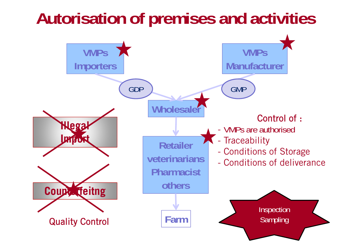## **Autorisation of premises and activities**

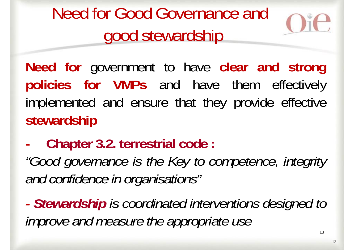Need for Good Governance and good stewardship



**Need for** government to have **clear and strong policies for VMPs** and have them effectively implemented and ensure that they provide effective **stewardship**

**-Chapter 3.2. terrestrial code :**

*"Good governance is the Key to competence, integrity and confidence in organisations"*

*- Stewardship is coordinated interventions designed to improve and measure the appropriate use*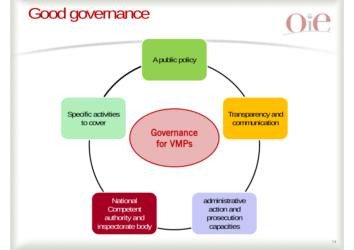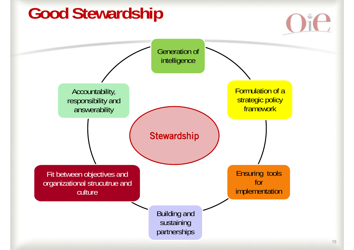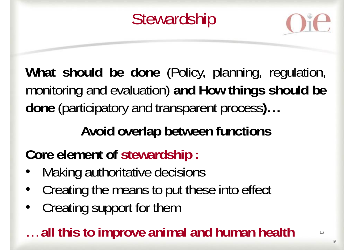**Stewardship** 



**What should be done** (Policy, planning, regulation, monitoring and evaluation) **and How things should be done** (participatory and transparent process**)…**

### **Avoid overlap between functions**

**Core element of stewardship :**

- •Making authoritative decisions
- $\bullet$ Creating the means to put these into effect
- •Creating support for them

#### … **all this to improve animal and human health**

16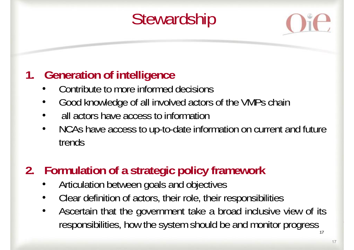# **Stewardship**



#### **1. Generation of intelligence**

- •Contribute to more informed decisions
- $\bullet$ Good knowledge of all involved actors of the VMPs chain
- •all actors have access to information
- $\bullet$  NCAs have access to up-to-date information on current and future trends

#### **2. Formulation of <sup>a</sup> strategic policy framework**

- •Articulation between goals and objectives
- •Clear definition of actors, their role, their responsibilities
- 17• Ascertain that the government take <sup>a</sup> broad inclusive view of its responsibilities, how the system should be and monitor progress

17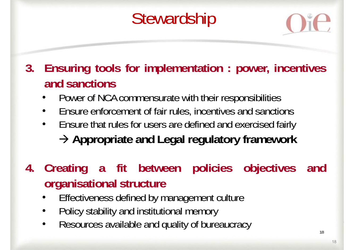# **Stewardship**



**3. Ensuring tools for implementation : power, incentives and sanctions**

- Power of NCA commensurate with their responsibilities
- •Ensure enforcement of fair rules, incentives and sanctions
- • Ensure that rules for users are defined and exercised fairly **Appropriate and Legal regulatory framework**
- **4. Creating <sup>a</sup> fit between policies objectives and organisational structure**
	- •Effectiveness defined by management culture
	- •Policy stability and institutional memory
	- •Resources available and quality of bureaucracy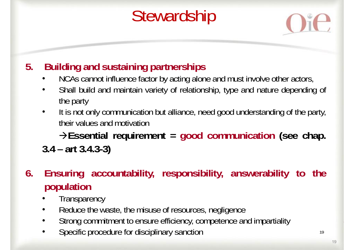# **Stewardship**



#### **5. Building and sustaining partnerships**

- •NCAs cannot influence factor by acting alone and must involve other actors,
- • Shall build and maintain variety of relationship, type and nature depending of the party
- • It is not only communication but alliance, need good understanding of the party, their values and motivation

**Essential requirement <sup>=</sup> good communication (see chap. 3.4 – art 3.4.3-3)**

- **6. Ensuring accountability, responsibility, answerability to the population**
	- •**Transparency**
	- $\bullet$ Reduce the waste, the misuse of resources, negligence
	- •Strong commitment to ensure efficiency, competence and impartiality
	- •Specific procedure for disciplinary sanction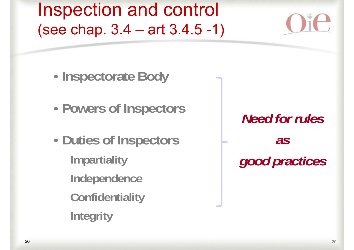Inspection and control (see chap. 3.4 – art 3.4.5 -1)

- •**Inspectorate Body**
- •**Powers of Inspectors**
- • **Duties of Inspectors Impartiality Independence Confidentiality Integrity**

*Need for rulesas good practices*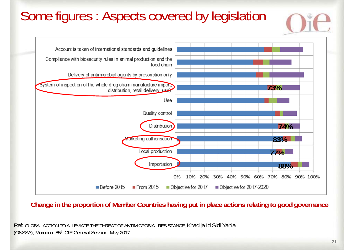#### Some figures : Aspects covered by legislation Account is taken of international standards and quidelines Compliance with biosecurity rules in animal production and the food chain Delivery of antimicrobial agents by prescription only System of inspection of the whole drug chain manufacture import, **73%**distribution, retail delivery use). Use **Quality control Distribution 74%Marketing authorisation 83%**Local production **77%**Importation **88%** $0%$ 10% 20% 30% 40% 50% 60% 70% 80% 90% 100%

**Change in the proportion of Member Countries having put in place actions relating to good governance**

Objective for 2017

Objective for 2017-2020

Ref: GLOBAL ACTION TO ALLEVIATE THE THREAT OF ANTIMICROBIAL RESISTANCE, Khadija Id Sidi Yahia (ONSSA), Morocco- 85th OIE General Session, May 2017

From 2015

Before 2015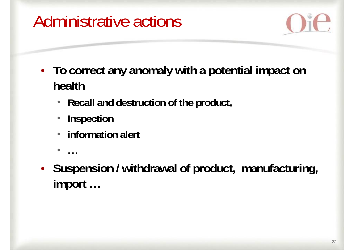# Administrative actions



- **To correct any anomaly with a potential impact on health**
	- **Recall and destruction of the product,**
	- •**Inspection**
	- •**information alert**

•

**…**

• **Suspension / withdrawal of product, manufacturing, import …**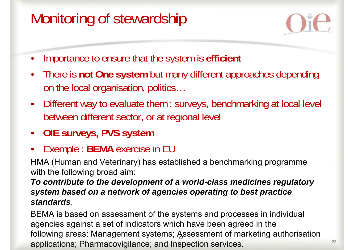## Monitoring of stewardship



23

- $\bullet$ Importance to ensure that the system is **efficient**
- $\bullet$  There is **not One system** but many different approaches depending on the local organisation, politics…
- Different way to evaluate them : surveys, benchmarking at local level between different sector, or at regional level
- **OIE surveys, PVS system**
- •Exemple : **BEMA** exercise in EU

HMA (Human and Veterinary) has established a benchmarking programme with the following broad aim:

*To contribute to the development of a world-class medicines regulatory system based on a network of agencies operating to best practice standards.*

BEMA is based on assessment of the systems and processes in individual agencies against a set of indicators which have been agreed in the following areas: Management systems; Assessment of marketing authorisation applications; Pharmacovigilance; and Inspection services.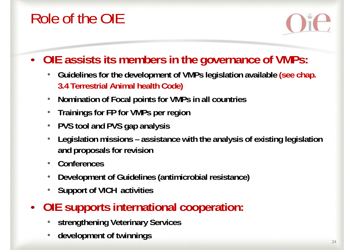## Role of the OIE



#### • **OIE assists its members in the governance of VMPs:**

- **Guidelines for the development of VMPs legislation available (see chap. 3.4 Terrestrial Animal health Code)**
- •**Nomination of Focal points for VMPs in all countries**
- •**Trainings for FP for VMPs per region**
- •**PVS tool and PVS gap analysis**
- • **Legislation missions – assistance with the analysis of existing legislation and proposals for revision**
- •**Conferences**
- •**Development of Guidelines (antimicrobial resistance)**
- •**Support of VICH activities**
- **OIE supports international cooperation:**
	- •**strengthening Veterinary Services**
	- •**development of twinnings**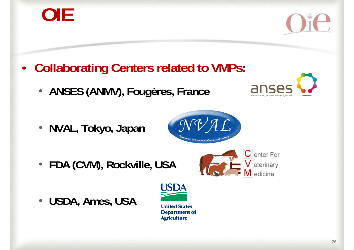**OIE**

- • **Collaborating Centers related to VMPs:**
	- •**ANSES (ANMV), Fougères, France**
	- **NVAL, Tokyo, Japan**
	- •**FDA (CVM), Rockville, USA**
	- $\bullet$ **USDA, Ames, USA**



Velerinary





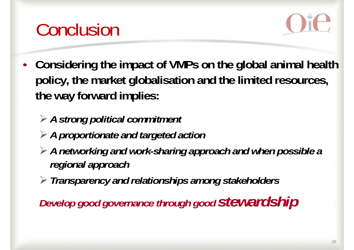



- **Considering the impact of VMPs on the global animal health policy, the market globalisation and the limited resources, the way forward implies:** 
	- *A strong political commitment*
	- *A proportionate and targeted action*
	- *A networking and work-sharing approach and when possible a regional approach*
	- *Transparency and relationships among stakeholders*

*Develop good governance through good stewardship*